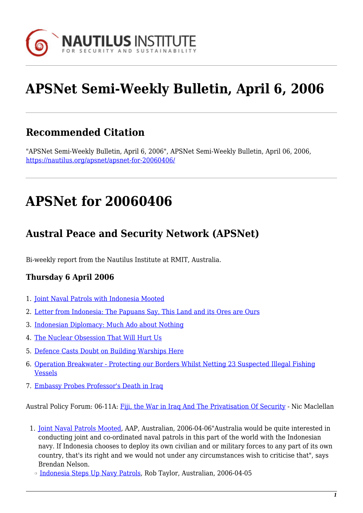

# **APSNet Semi-Weekly Bulletin, April 6, 2006**

## **Recommended Citation**

"APSNet Semi-Weekly Bulletin, April 6, 2006", APSNet Semi-Weekly Bulletin, April 06, 2006, <https://nautilus.org/apsnet/apsnet-for-20060406/>

# **APSNet for 20060406**

## **Austral Peace and Security Network (APSNet)**

Bi-weekly report from the Nautilus Institute at RMIT, Australia.

### **Thursday 6 April 2006**

- 1. [Joint Naval Patrols with Indonesia Mooted](#page--1-0)
- 2. [Letter from Indonesia: The Papuans Say, This Land and its Ores are Ours](#page--1-0)
- 3. [Indonesian Diplomacy: Much Ado about Nothing](#page--1-0)
- 4. [The Nuclear Obsession That Will Hurt Us](#page--1-0)
- 5. [Defence Casts Doubt on Building Warships Here](#page--1-0)
- 6. [Operation Breakwater Protecting our Borders Whilst Netting 23 Suspected Illegal Fishing](#page--1-0) [Vessels](#page--1-0)
- 7. [Embassy Probes Professor's Death in Iraq](#page--1-0)

Austral Policy Forum: 06-11A: [Fiji, the War in Iraq And The Privatisation Of Security](#page--1-0) - Nic Maclellan

- 1. [Joint Naval Patrols Mooted,](http://www.theaustralian.news.com.au/common/story_page/0,5744,18728584^31477,00.html) AAP, Australian, 2006-04-06"Australia would be quite interested in conducting joint and co-ordinated naval patrols in this part of the world with the Indonesian navy. If Indonesia chooses to deploy its own civilian and or military forces to any part of its own country, that's its right and we would not under any circumstances wish to criticise that", says Brendan Nelson.
	- ❍ [Indonesia Steps Up Navy Patrols,](http://www.theaustralian.news.com.au/common/story_page/0,5744,18718647^31477,00.html) Rob Taylor, Australian, 2006-04-05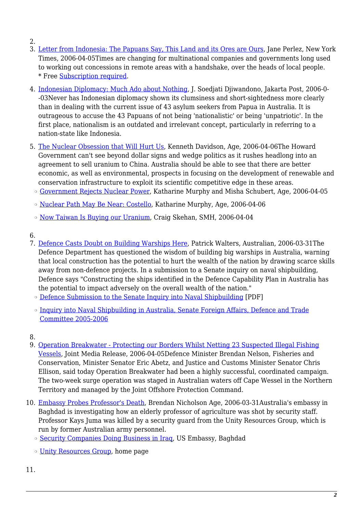- 2.
- 3. [Letter from Indonesia: The Papuans Say, This Land and its Ores are Ours](http://www.nytimes.com/2006/04/05/world/asia/05letter.html?r=1&oref=slogin), Jane Perlez, New York Times, 2006-04-05Times are changing for multinational companies and governments long used to working out concessions in remote areas with a handshake, over the heads of local people. \* Free [Subscription required.](http://nautilus.org/subscription.html)
- 4. [Indonesian Diplomacy: Much Ado about Nothing,](http://www.asianewsnet.net/columnist.php?aid=59) J. Soedjati Djiwandono, Jakarta Post, 2006-0- -03Never has Indonesian diplomacy shown its clumsiness and short-sightedness more clearly than in dealing with the current issue of 43 asylum seekers from Papua in Australia. It is outrageous to accuse the 43 Papuans of not being 'nationalistic' or being 'unpatriotic'. In the first place, nationalism is an outdated and irrelevant concept, particularly in referring to a nation-state like Indonesia.
- 5. [The Nuclear Obsession that Will Hurt Us,](http://www.theage.com.au/news/kenneth-davidson/the-nuclear-obsession-that-will-hurt-us/2006/04/05/1143916587262.html?page=fullpage) Kenneth Davidson, Age, 2006-04-06The Howard Government can't see beyond dollar signs and wedge politics as it rushes headlong into an agreement to sell uranium to China. Australia should be able to see that there are better economic, as well as environmental, prospects in focusing on the development of renewable and conservation infrastructure to exploit its scientific competitive edge in these areas.
	- ❍ [Government Rejects Nuclear Power,](http://www.theage.com.au/news/national/government-rejects-nuclear-power/2006/04/04/1143916526955.html) Katharine Murphy and Misha Schubert, Age, 2006-04-05
	- ❍ [Nuclear Path May Be Near: Costello](http://www.theage.com.au/news/national/nuclear-path-may-be-near-costello/2006/04/05/1143916593248.html), Katharine Murphy, Age, 2006-04-06
	- ❍ [Now Taiwan Is Buying our Uranium](http://www.smh.com.au/news/national/now-taiwan-is-buying-our-uranium/2006/04/03/1143916466699.html?page=fullpage), Craig Skehan, SMH, 2006-04-04
- 6.
- 7. [Defence Casts Doubt on Building Warships Here,](http://www.theaustralian.news.com.au/common/story_page/0,5744,18661295^31477,00.html) Patrick Walters, Australian, 2006-03-31The Defence Department has questioned the wisdom of building big warships in Australia, warning that local construction has the potential to hurt the wealth of the nation by drawing scarce skills away from non-defence projects. In a submission to a Senate inquiry on naval shipbuilding, Defence says "Constructing the ships identified in the Defence Capability Plan in Australia has the potential to impact adversely on the overall wealth of the nation."
	- ❍ [Defence Submission to the Senate Inquiry into Naval Shipbuilding](http://www.aph.gov.au/Senate/committee/fadt_ctte/shipping/submissions/sub20.pdf) [PDF]
	- ❍ [Inquiry into Naval Shipbuilding in Australia, Senate Foreign Affairs, Defence and Trade](http://www.aph.gov.au/Senate/committee/fadt_ctte/shipping/index.htm) [Committee 2005-2006](http://www.aph.gov.au/Senate/committee/fadt_ctte/shipping/index.htm)
- 8.
- 9. [Operation Breakwater Protecting our Borders Whilst Netting 23 Suspected Illegal Fishing](http://www.customs.gov.au/site/page.cfm?c=6951) [Vessels](http://www.customs.gov.au/site/page.cfm?c=6951), Joint Media Release, 2006-04-05Defence Minister Brendan Nelson, Fisheries and Conservation, Minister Senator Eric Abetz, and Justice and Customs Minister Senator Chris Ellison, said today Operation Breakwater had been a highly successful, coordinated campaign. The two-week surge operation was staged in Australian waters off Cape Wessel in the Northern Territory and managed by the Joint Offshore Protection Command.
- 10. [Embassy Probes Professor's Death](http://www.theage.com.au/news/national/embassy-probes-professors-death/2006/03/30/1143441282825.html), Brendan Nicholson Age, 2006-03-31Australia's embassy in Baghdad is investigating how an elderly professor of agriculture was shot by security staff. Professor Kays Juma was killed by a security guard from the Unity Resources Group, which is run by former Australian army personnel.
	- ❍ [Security Companies Doing Business in Iraq](http://usembassy.state.gov/iraq/security_companies.html), US Embassy, Baghdad
	- ❍ [Unity Resources Group](http://www.unityresourcesgroup.com/default.aspx), home page